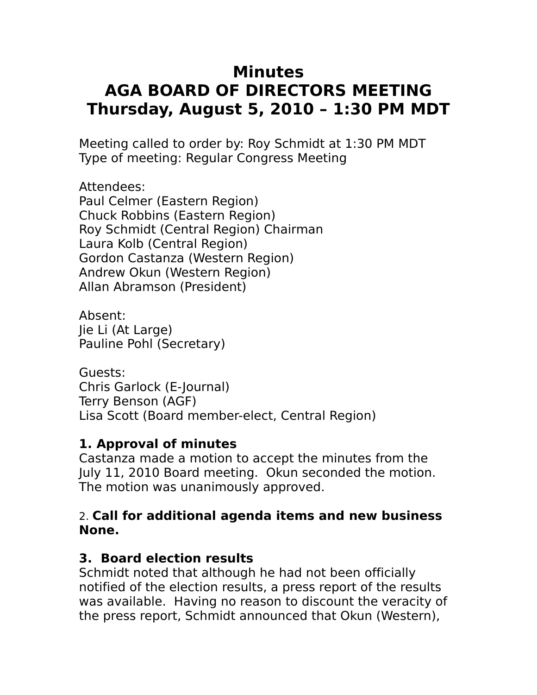# **Minutes AGA BOARD OF DIRECTORS MEETING Thursday, August 5, 2010 – 1:30 PM MDT**

Meeting called to order by: Roy Schmidt at 1:30 PM MDT Type of meeting: Regular Congress Meeting

Attendees: Paul Celmer (Eastern Region) Chuck Robbins (Eastern Region) Roy Schmidt (Central Region) Chairman Laura Kolb (Central Region) Gordon Castanza (Western Region) Andrew Okun (Western Region) Allan Abramson (President)

Absent: Jie Li (At Large) Pauline Pohl (Secretary)

Guests: Chris Garlock (E-Journal) Terry Benson (AGF) Lisa Scott (Board member-elect, Central Region)

### **1. Approval of minutes**

Castanza made a motion to accept the minutes from the July 11, 2010 Board meeting. Okun seconded the motion. The motion was unanimously approved.

#### 2. **Call for additional agenda items and new business None.**

## **3. Board election results**

Schmidt noted that although he had not been officially notified of the election results, a press report of the results was available. Having no reason to discount the veracity of the press report, Schmidt announced that Okun (Western),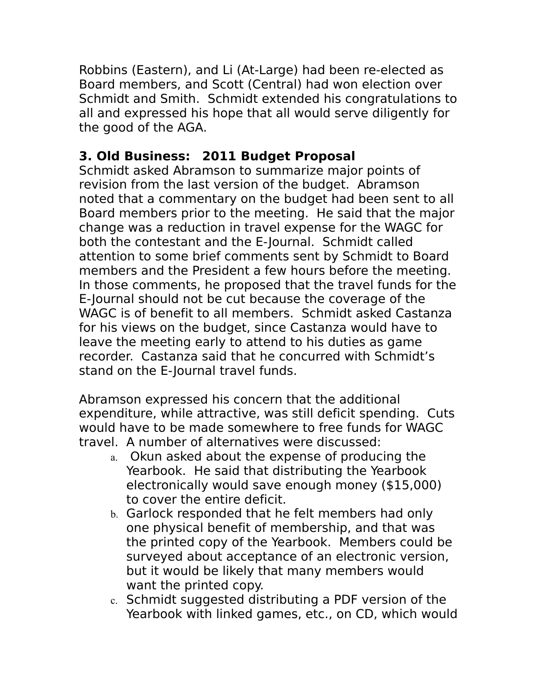Robbins (Eastern), and Li (At-Large) had been re-elected as Board members, and Scott (Central) had won election over Schmidt and Smith. Schmidt extended his congratulations to all and expressed his hope that all would serve diligently for the good of the AGA.

# **3. Old Business: 2011 Budget Proposal**

Schmidt asked Abramson to summarize major points of revision from the last version of the budget. Abramson noted that a commentary on the budget had been sent to all Board members prior to the meeting. He said that the major change was a reduction in travel expense for the WAGC for both the contestant and the E-Journal. Schmidt called attention to some brief comments sent by Schmidt to Board members and the President a few hours before the meeting. In those comments, he proposed that the travel funds for the E-Journal should not be cut because the coverage of the WAGC is of benefit to all members. Schmidt asked Castanza for his views on the budget, since Castanza would have to leave the meeting early to attend to his duties as game recorder. Castanza said that he concurred with Schmidt's stand on the E-Journal travel funds.

Abramson expressed his concern that the additional expenditure, while attractive, was still deficit spending. Cuts would have to be made somewhere to free funds for WAGC travel. A number of alternatives were discussed:

- a. Okun asked about the expense of producing the Yearbook. He said that distributing the Yearbook electronically would save enough money (\$15,000) to cover the entire deficit.
- b. Garlock responded that he felt members had only one physical benefit of membership, and that was the printed copy of the Yearbook. Members could be surveyed about acceptance of an electronic version, but it would be likely that many members would want the printed copy.
- c. Schmidt suggested distributing a PDF version of the Yearbook with linked games, etc., on CD, which would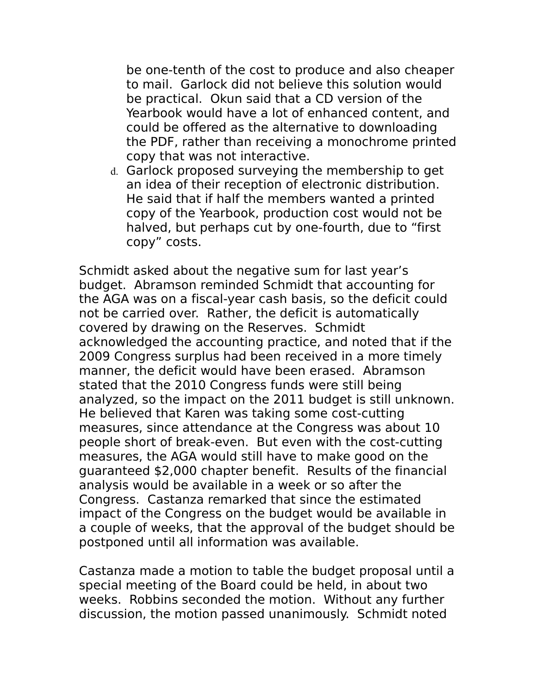be one-tenth of the cost to produce and also cheaper to mail. Garlock did not believe this solution would be practical. Okun said that a CD version of the Yearbook would have a lot of enhanced content, and could be offered as the alternative to downloading the PDF, rather than receiving a monochrome printed copy that was not interactive.

d. Garlock proposed surveying the membership to get an idea of their reception of electronic distribution. He said that if half the members wanted a printed copy of the Yearbook, production cost would not be halved, but perhaps cut by one-fourth, due to "first copy" costs.

Schmidt asked about the negative sum for last year's budget. Abramson reminded Schmidt that accounting for the AGA was on a fiscal-year cash basis, so the deficit could not be carried over. Rather, the deficit is automatically covered by drawing on the Reserves. Schmidt acknowledged the accounting practice, and noted that if the 2009 Congress surplus had been received in a more timely manner, the deficit would have been erased. Abramson stated that the 2010 Congress funds were still being analyzed, so the impact on the 2011 budget is still unknown. He believed that Karen was taking some cost-cutting measures, since attendance at the Congress was about 10 people short of break-even. But even with the cost-cutting measures, the AGA would still have to make good on the guaranteed \$2,000 chapter benefit. Results of the financial analysis would be available in a week or so after the Congress. Castanza remarked that since the estimated impact of the Congress on the budget would be available in a couple of weeks, that the approval of the budget should be postponed until all information was available.

Castanza made a motion to table the budget proposal until a special meeting of the Board could be held, in about two weeks. Robbins seconded the motion. Without any further discussion, the motion passed unanimously. Schmidt noted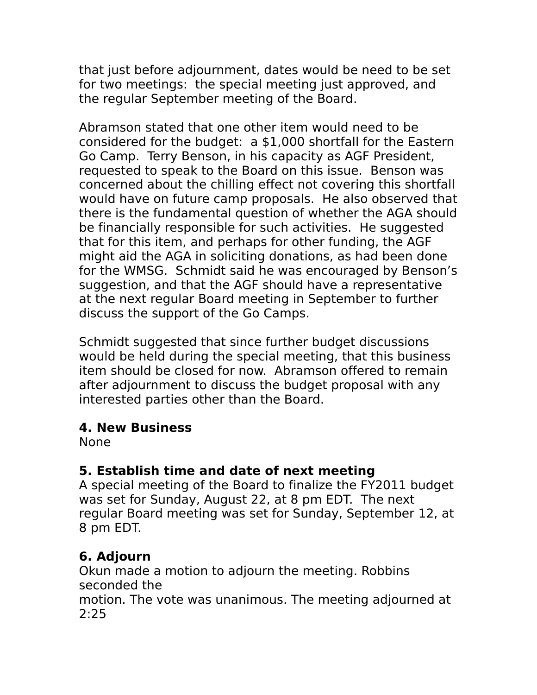that just before adjournment, dates would be need to be set for two meetings: the special meeting just approved, and the regular September meeting of the Board.

Abramson stated that one other item would need to be considered for the budget: a \$1,000 shortfall for the Eastern Go Camp. Terry Benson, in his capacity as AGF President, requested to speak to the Board on this issue. Benson was concerned about the chilling effect not covering this shortfall would have on future camp proposals. He also observed that there is the fundamental question of whether the AGA should be financially responsible for such activities. He suggested that for this item, and perhaps for other funding, the AGF might aid the AGA in soliciting donations, as had been done for the WMSG. Schmidt said he was encouraged by Benson's suggestion, and that the AGF should have a representative at the next regular Board meeting in September to further discuss the support of the Go Camps.

Schmidt suggested that since further budget discussions would be held during the special meeting, that this business item should be closed for now. Abramson offered to remain after adjournment to discuss the budget proposal with any interested parties other than the Board.

### **4. New Business**

None

### **5. Establish time and date of next meeting**

A special meeting of the Board to finalize the FY2011 budget was set for Sunday, August 22, at 8 pm EDT. The next regular Board meeting was set for Sunday, September 12, at 8 pm EDT.

## **6. Adjourn**

Okun made a motion to adjourn the meeting. Robbins seconded the motion. The vote was unanimous. The meeting adjourned at 2:25